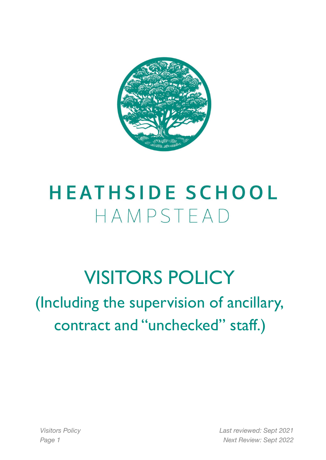

# **HEATHSIDE SCHOOL** HAMPSTEAD

# VISITORS POLICY

(Including the supervision of ancillary, contract and "unchecked" staff.)

*Visitors Policy Last reviewed: Sept 2021 Page 1 Next Review: Sept 2022*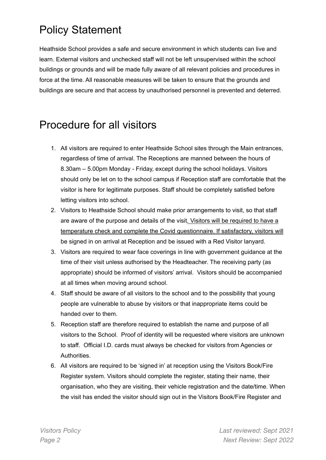## Policy Statement

Heathside School provides a safe and secure environment in which students can live and learn. External visitors and unchecked staff will not be left unsupervised within the school buildings or grounds and will be made fully aware of all relevant policies and procedures in force at the time. All reasonable measures will be taken to ensure that the grounds and buildings are secure and that access by unauthorised personnel is prevented and deterred.

### Procedure for all visitors

- 1. All visitors are required to enter Heathside School sites through the Main entrances, regardless of time of arrival. The Receptions are manned between the hours of 8.30am – 5.00pm Monday - Friday, except during the school holidays. Visitors should only be let on to the school campus if Reception staff are comfortable that the visitor is here for legitimate purposes. Staff should be completely satisfied before letting visitors into school.
- 2. Visitors to Heathside School should make prior arrangements to visit, so that staff are aware of the purpose and details of the visit. Visitors will be required to have a temperature check and complete the Covid questionnaire. If satisfactory, visitors will be signed in on arrival at Reception and be issued with a Red Visitor lanyard.
- 3. Visitors are required to wear face coverings in line with government guidance at the time of their visit unless authorised by the Headteacher. The receiving party (as appropriate) should be informed of visitors' arrival. Visitors should be accompanied at all times when moving around school.
- 4. Staff should be aware of all visitors to the school and to the possibility that young people are vulnerable to abuse by visitors or that inappropriate items could be handed over to them.
- 5. Reception staff are therefore required to establish the name and purpose of all visitors to the School. Proof of identity will be requested where visitors are unknown to staff. Official I.D. cards must always be checked for visitors from Agencies or Authorities.
- 6. All visitors are required to be 'signed in' at reception using the Visitors Book/Fire Register system. Visitors should complete the register, stating their name, their organisation, who they are visiting, their vehicle registration and the date/time. When the visit has ended the visitor should sign out in the Visitors Book/Fire Register and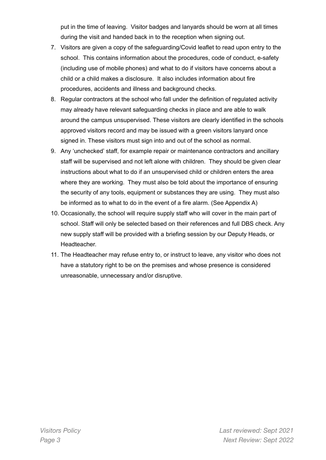put in the time of leaving. Visitor badges and lanyards should be worn at all times during the visit and handed back in to the reception when signing out.

- 7. Visitors are given a copy of the safeguarding/Covid leaflet to read upon entry to the school. This contains information about the procedures, code of conduct, e-safety (including use of mobile phones) and what to do if visitors have concerns about a child or a child makes a disclosure. It also includes information about fire procedures, accidents and illness and background checks.
- 8. Regular contractors at the school who fall under the definition of regulated activity may already have relevant safeguarding checks in place and are able to walk around the campus unsupervised. These visitors are clearly identified in the schools approved visitors record and may be issued with a green visitors lanyard once signed in. These visitors must sign into and out of the school as normal.
- 9. Any 'unchecked' staff, for example repair or maintenance contractors and ancillary staff will be supervised and not left alone with children. They should be given clear instructions about what to do if an unsupervised child or children enters the area where they are working. They must also be told about the importance of ensuring the security of any tools, equipment or substances they are using. They must also be informed as to what to do in the event of a fire alarm. (See Appendix A)
- 10. Occasionally, the school will require supply staff who will cover in the main part of school. Staff will only be selected based on their references and full DBS check. Any new supply staff will be provided with a briefing session by our Deputy Heads, or Headteacher.
- 11. The Headteacher may refuse entry to, or instruct to leave, any visitor who does not have a statutory right to be on the premises and whose presence is considered unreasonable, unnecessary and/or disruptive.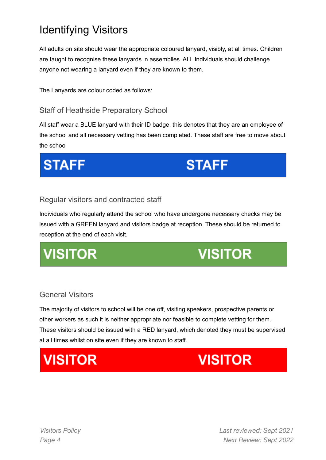## Identifying Visitors

All adults on site should wear the appropriate coloured lanyard, visibly, at all times. Children are taught to recognise these lanyards in assemblies. ALL individuals should challenge anyone not wearing a lanyard even if they are known to them.

The Lanyards are colour coded as follows:

### Staff of Heathside Preparatory School

All staff wear a BLUE lanyard with their ID badge, this denotes that they are an employee of the school and all necessary vetting has been completed. These staff are free to move about the school

**STAFF** 

**STAFF** 

#### Regular visitors and contracted staff

Individuals who regularly attend the school who have undergone necessary checks may be issued with a GREEN lanyard and visitors badge at reception. These should be returned to reception at the end of each visit.

## **VISITOR**

## **VISITOR**

### General Visitors

The majority of visitors to school will be one off, visiting speakers, prospective parents or other workers as such it is neither appropriate nor feasible to complete vetting for them. These visitors should be issued with a RED lanyard, which denoted they must be supervised at all times whilst on site even if they are known to staff.

## **VISITOR**

## **VISITOR**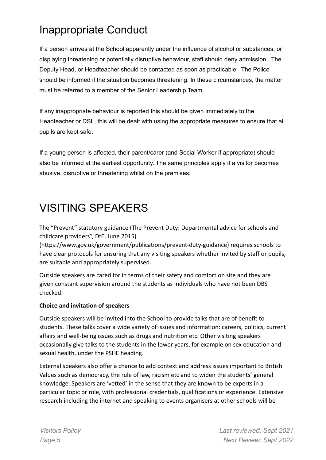## Inappropriate Conduct

If a person arrives at the School apparently under the influence of alcohol or substances, or displaying threatening or potentially disruptive behaviour, staff should deny admission. The Deputy Head, or Headteacher should be contacted as soon as practicable. The Police should be informed if the situation becomes threatening. In these circumstances, the matter must be referred to a member of the Senior Leadership Team.

If any inappropriate behaviour is reported this should be given immediately to the Headteacher or DSL, this will be dealt with using the appropriate measures to ensure that all pupils are kept safe.

If a young person is affected, their parent/carer (and Social Worker if appropriate) should also be informed at the earliest opportunity. The same principles apply if a visitor becomes abusive, disruptive or threatening whilst on the premises.

## VISITING SPEAKERS

The "Prevent" statutory guidance (The Prevent Duty: Departmental advice for schools and childcare providers", DfE, June 2015)

(https://www.gov.uk/government/publications/prevent-duty-guidance) requires schools to have clear protocols for ensuring that any visiting speakers whether invited by staff or pupils, are suitable and appropriately supervised.

Outside speakers are cared for in terms of their safety and comfort on site and they are given constant supervision around the students as individuals who have not been DBS checked.

#### **Choice and invitation of speakers**

Outside speakers will be invited into the School to provide talks that are of benefit to students. These talks cover a wide variety of issues and information: careers, politics, current affairs and well-being issues such as drugs and nutrition etc. Other visiting speakers occasionally give talks to the students in the lower years, for example on sex education and sexual health, under the PSHE heading.

External speakers also offer a chance to add context and address issues important to British Values such as democracy, the rule of law, racism etc and to widen the students' general knowledge. Speakers are 'vetted' in the sense that they are known to be experts in a particular topic or role, with professional credentials, qualifications or experience. Extensive research including the internet and speaking to events organisers at other schools will be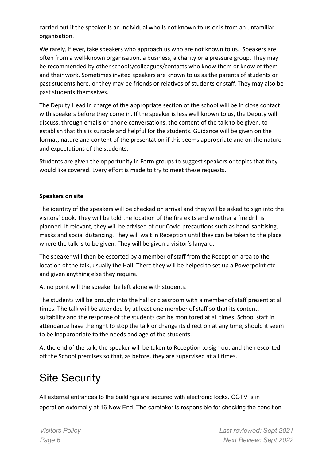carried out if the speaker is an individual who is not known to us or is from an unfamiliar organisation.

We rarely, if ever, take speakers who approach us who are not known to us. Speakers are often from a well-known organisation, a business, a charity or a pressure group. They may be recommended by other schools/colleagues/contacts who know them or know of them and their work. Sometimes invited speakers are known to us as the parents of students or past students here, or they may be friends or relatives of students or staff. They may also be past students themselves.

The Deputy Head in charge of the appropriate section of the school will be in close contact with speakers before they come in. If the speaker is less well known to us, the Deputy will discuss, through emails or phone conversations, the content of the talk to be given, to establish that this is suitable and helpful for the students. Guidance will be given on the format, nature and content of the presentation if this seems appropriate and on the nature and expectations of the students.

Students are given the opportunity in Form groups to suggest speakers or topics that they would like covered. Every effort is made to try to meet these requests.

#### **Speakers on site**

The identity of the speakers will be checked on arrival and they will be asked to sign into the visitors' book. They will be told the location of the fire exits and whether a fire drill is planned. If relevant, they will be advised of our Covid precautions such as hand-sanitising, masks and social distancing. They will wait in Reception until they can be taken to the place where the talk is to be given. They will be given a visitor's lanyard.

The speaker will then be escorted by a member of staff from the Reception area to the location of the talk, usually the Hall. There they will be helped to set up a Powerpoint etc and given anything else they require.

At no point will the speaker be left alone with students.

The students will be brought into the hall or classroom with a member of staff present at all times. The talk will be attended by at least one member of staff so that its content, suitability and the response of the students can be monitored at all times. School staff in attendance have the right to stop the talk or change its direction at any time, should it seem to be inappropriate to the needs and age of the students.

At the end of the talk, the speaker will be taken to Reception to sign out and then escorted off the School premises so that, as before, they are supervised at all times.

### Site Security

All external entrances to the buildings are secured with electronic locks. CCTV is in operation externally at 16 New End. The caretaker is responsible for checking the condition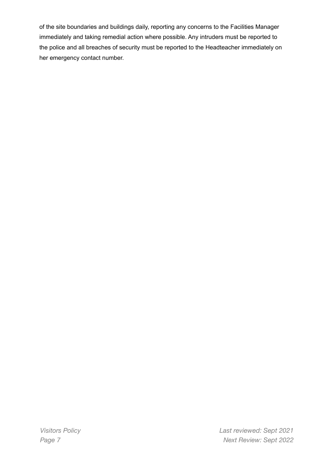of the site boundaries and buildings daily, reporting any concerns to the Facilities Manager immediately and taking remedial action where possible. Any intruders must be reported to the police and all breaches of security must be reported to the Headteacher immediately on her emergency contact number.